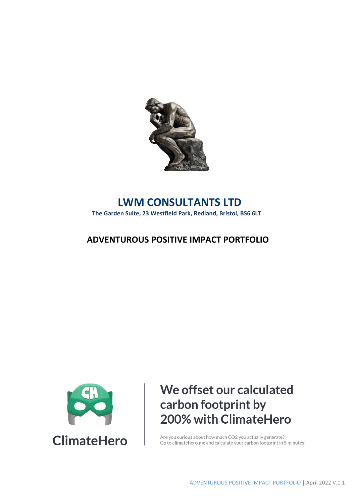

## **LWM CONSULTANTS LTD**

**The Garden Suite, 23 Westfield Park, Redland, Bristol, BS6 6LT**

### **ADVENTUROUS POSITIVE IMPACT PORTFOLIO**



# We offset our calculated carbon footprint by 200% with ClimateHero

Are you curious about how much CO2 you actually generate? Go to climate hero. me and calculate your carbon footprint in 5 minutes!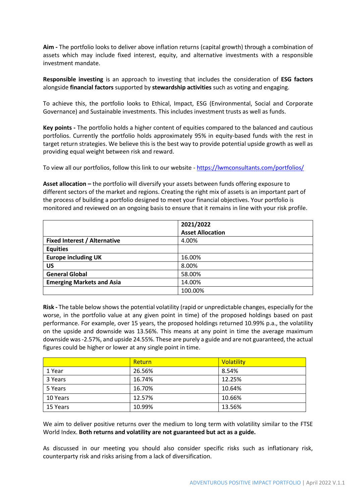**Aim -** The portfolio looks to deliver above inflation returns (capital growth) through a combination of assets which may include fixed interest, equity, and alternative investments with a responsible investment mandate.

**Responsible investing** is an approach to investing that includes the consideration of **ESG factors** alongside **financial factors** supported by **stewardship activities** such as voting and engaging.

To achieve this, the portfolio looks to Ethical, Impact, ESG (Environmental, Social and Corporate Governance) and Sustainable investments. This includes investment trusts as well as funds.

**Key points -** The portfolio holds a higher content of equities compared to the balanced and cautious portfolios. Currently the portfolio holds approximately 95% in equity-based funds with the rest in target return strategies. We believe this is the best way to provide potential upside growth as well as providing equal weight between risk and reward.

To view all our portfolios, follow this link to our website - <https://lwmconsultants.com/portfolios/>

**Asset allocation –** the portfolio will diversify your assets between funds offering exposure to different sectors of the market and regions. Creating the right mix of assets is an important part of the process of building a portfolio designed to meet your financial objectives. Your portfolio is monitored and reviewed on an ongoing basis to ensure that it remains in line with your risk profile.

|                                     | 2021/2022               |
|-------------------------------------|-------------------------|
|                                     | <b>Asset Allocation</b> |
| <b>Fixed Interest / Alternative</b> | 4.00%                   |
| <b>Equities</b>                     |                         |
| <b>Europe including UK</b>          | 16.00%                  |
| US                                  | 8.00%                   |
| <b>General Global</b>               | 58.00%                  |
| <b>Emerging Markets and Asia</b>    | 14.00%                  |
|                                     | 100.00%                 |

**Risk -** The table below shows the potential volatility (rapid or unpredictable changes, especially for the worse, in the portfolio value at any given point in time) of the proposed holdings based on past performance. For example, over 15 years, the proposed holdings returned 10.99% p.a., the volatility on the upside and downside was 13.56%. This means at any point in time the average maximum downside was -2.57%, and upside 24.55%. These are purely a guide and are not guaranteed, the actual figures could be higher or lower at any single point in time.

|          | Return | <b>Volatility</b> |
|----------|--------|-------------------|
| 1 Year   | 26.56% | 8.54%             |
| 3 Years  | 16.74% | 12.25%            |
| 5 Years  | 16.70% | 10.64%            |
| 10 Years | 12.57% | 10.66%            |
| 15 Years | 10.99% | 13.56%            |

We aim to deliver positive returns over the medium to long term with volatility similar to the FTSE World Index. **Both returns and volatility are not guaranteed but act as a guide.** 

As discussed in our meeting you should also consider specific risks such as inflationary risk, counterparty risk and risks arising from a lack of diversification.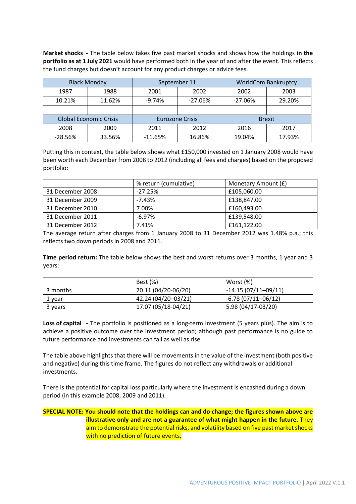**Market shocks -** The table below takes five past market shocks and shows how the holdings **in the portfolio as at 1 July 2021** would have performed both in the year of and after the event. This reflects the fund charges but doesn't account for any product charges or advice fees.

|                               | <b>Black Monday</b> | September 11           |           | <b>WorldCom Bankruptcy</b> |               |
|-------------------------------|---------------------|------------------------|-----------|----------------------------|---------------|
| 1987                          | 1988                | 2001                   | 2002      | 2002                       | 2003          |
| 10.21%                        | 11.62%              | $-9.74%$               | $-27.06%$ | $-27.06%$                  | 29.20%        |
|                               |                     |                        |           |                            |               |
| <b>Global Economic Crisis</b> |                     | <b>Eurozone Crisis</b> |           |                            | <b>Brexit</b> |
| 2008                          | 2009                | 2011                   | 2012      | 2016                       | 2017          |
| $-28.56%$                     | 33.56%              | $-11.65%$              | 16.86%    | 19.04%                     | 17.93%        |

Putting this in context, the table below shows what £150,000 invested on 1 January 2008 would have been worth each December from 2008 to 2012 (including all fees and charges) based on the proposed portfolio:

|                  | % return (cumulative) | Monetary Amount (£) |
|------------------|-----------------------|---------------------|
| 31 December 2008 | $-27.25%$             | £105,060.00         |
| 31 December 2009 | $-7.43%$              | £138,847.00         |
| 31 December 2010 | 7.00%                 | £160,493.00         |
| 31 December 2011 | $-6.97\%$             | £139,548.00         |
| 31 December 2012 | 7.41%                 | £161,122.00         |

The average return after charges from 1 January 2008 to 31 December 2012 was 1.48% p.a.; this reflects two down periods in 2008 and 2011.

**Time period return:** The table below shows the best and worst returns over 3 months, 1 year and 3 years:

|          | Best (%)            | Worst (%)             |
|----------|---------------------|-----------------------|
| 3 months | 20.11 (04/20-06/20) | $-14.15(07/11-09/11)$ |
| 1 year   | 42.24 (04/20-03/21) | $-6.78(07/11-06/12)$  |
| 3 years  | 17.07 (05/18-04/21) | 5.98 (04/17-03/20)    |

**Loss of capital -** The portfolio is positioned as a long-term investment (5 years plus). The aim is to achieve a positive outcome over the investment period; although past performance is no guide to future performance and investments can fall as well as rise.

The table above highlights that there will be movements in the value of the investment (both positive and negative) during this time frame. The figures do not reflect any withdrawals or additional investments.

There is the potential for capital loss particularly where the investment is encashed during a down period (in this example 2008, 2009 and 2011).

### **SPECIAL NOTE: You should note that the holdings can and do change; the figures shown above are illustrative only and are not a guarantee of what might happen in the future.** They aim to demonstrate the potential risks, and volatility based on five past market shocks with no prediction of future events.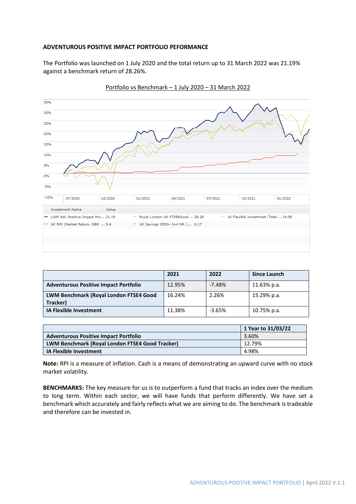#### **ADVENTUROUS POSITIVE IMPACT PORTFOLIO PEFORMANCE**

The Portfolio was launched on 1 July 2020 and the total return up to 31 March 2022 was 21.19% against a benchmark return of 28.26%.



Portfolio vs Benchmark – 1 July 2020 – 31 March 2022

|                                                    | 2021   | 2022     | <b>Since Launch</b> |
|----------------------------------------------------|--------|----------|---------------------|
| <b>Adventurous Positive Impact Portfolio</b>       | 12.95% | $-7.48%$ | 11.63% p.a.         |
| LWM Benchmark (Royal London FTSE4 Good<br>Tracker) | 16.24% | 2.26%    | 15.29% p.a.         |
| <b>IA Flexible Investment</b>                      | 11.38% | $-3.65%$ | 10.75% p.a.         |

|                                                        | 1 Year to 31/03/22 |
|--------------------------------------------------------|--------------------|
| <b>Adventurous Positive Impact Portfolio</b>           | 3.60%              |
| <b>LWM Benchmark (Royal London FTSE4 Good Tracker)</b> | 12.79%             |
| <b>IA Flexible Investment</b>                          | 4.98%              |

**Note:** RPI is a measure of inflation. Cash is a means of demonstrating an upward curve with no stock market volatility.

**BENCHMARKS:** The key measure for us is to outperform a fund that tracks an index over the medium to long term. Within each sector, we will have funds that perform differently. We have set a benchmark which accurately and fairly reflects what we are aiming to do. The benchmark is tradeable and therefore can be invested in.